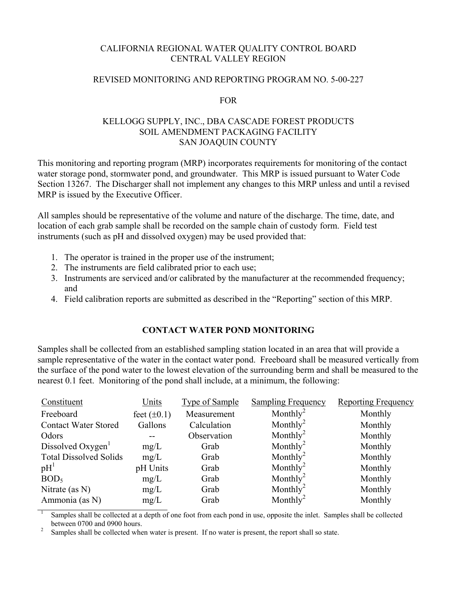### CALIFORNIA REGIONAL WATER QUALITY CONTROL BOARD CENTRAL VALLEY REGION

### REVISED MONITORING AND REPORTING PROGRAM NO. 5-00-227

FOR

# KELLOGG SUPPLY, INC., DBA CASCADE FOREST PRODUCTS SOIL AMENDMENT PACKAGING FACILITY SAN JOAQUIN COUNTY

This monitoring and reporting program (MRP) incorporates requirements for monitoring of the contact water storage pond, stormwater pond, and groundwater. This MRP is issued pursuant to Water Code Section 13267. The Discharger shall not implement any changes to this MRP unless and until a revised MRP is issued by the Executive Officer.

All samples should be representative of the volume and nature of the discharge. The time, date, and location of each grab sample shall be recorded on the sample chain of custody form. Field test instruments (such as pH and dissolved oxygen) may be used provided that:

- 1. The operator is trained in the proper use of the instrument;
- 2. The instruments are field calibrated prior to each use;
- 3. Instruments are serviced and/or calibrated by the manufacturer at the recommended frequency; and
- 4. Field calibration reports are submitted as described in the "Reporting" section of this MRP.

# **CONTACT WATER POND MONITORING**

Samples shall be collected from an established sampling station located in an area that will provide a sample representative of the water in the contact water pond. Freeboard shall be measured vertically from the surface of the pond water to the lowest elevation of the surrounding berm and shall be measured to the nearest 0.1 feet. Monitoring of the pond shall include, at a minimum, the following:

| Constituent                   | Units            | Type of Sample | <b>Sampling Frequency</b> | <b>Reporting Frequency</b> |
|-------------------------------|------------------|----------------|---------------------------|----------------------------|
| Freeboard                     | feet $(\pm 0.1)$ | Measurement    | Monthly <sup>2</sup>      | Monthly                    |
| <b>Contact Water Stored</b>   | Gallons          | Calculation    | Monthly <sup>2</sup>      | Monthly                    |
| Odors                         |                  | Observation    | Monthly <sup>2</sup>      | Monthly                    |
| Dissolved Oxygen <sup>1</sup> | mg/L             | Grab           | Monthly <sup>2</sup>      | Monthly                    |
| <b>Total Dissolved Solids</b> | mg/L             | Grab           | Monthly <sup>2</sup>      | Monthly                    |
| pH <sup>1</sup>               | pH Units         | Grab           | Monthly <sup>2</sup>      | Monthly                    |
| BOD <sub>5</sub>              | mg/L             | Grab           | Monthly <sup>2</sup>      | Monthly                    |
| Nitrate (as $N$ )             | mg/L             | Grab           | Monthly <sup>2</sup>      | Monthly                    |
| Ammonia (as N)                | mg/L             | Grab           | Monthly <sup>2</sup>      | Monthly                    |

1 Samples shall be collected at a depth of one foot from each pond in use, opposite the inlet. Samples shall be collected between 0700 and 0900 hours.<br> $\frac{2}{3}$  Samples shall be collected when

Samples shall be collected when water is present. If no water is present, the report shall so state.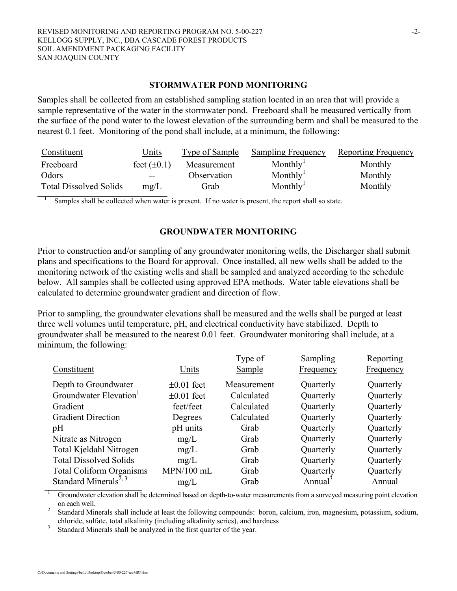#### **STORMWATER POND MONITORING**

Samples shall be collected from an established sampling station located in an area that will provide a sample representative of the water in the stormwater pond. Freeboard shall be measured vertically from the surface of the pond water to the lowest elevation of the surrounding berm and shall be measured to the nearest 0.1 feet. Monitoring of the pond shall include, at a minimum, the following:

| Constituent                   | <u>Units</u>     | Type of Sample | <b>Sampling Frequency</b> | Reporting Frequency |
|-------------------------------|------------------|----------------|---------------------------|---------------------|
| Freeboard                     | feet $(\pm 0.1)$ | Measurement    | Monthly <sup>1</sup>      | Monthly             |
| Odors                         | $- -$            | Observation    | Monthly <sup>1</sup>      | Monthly             |
| <b>Total Dissolved Solids</b> | mg/L             | Grab           | Monthly <sup>1</sup>      | Monthly             |

1 Samples shall be collected when water is present. If no water is present, the report shall so state.

#### **GROUNDWATER MONITORING**

Prior to construction and/or sampling of any groundwater monitoring wells, the Discharger shall submit plans and specifications to the Board for approval. Once installed, all new wells shall be added to the monitoring network of the existing wells and shall be sampled and analyzed according to the schedule below. All samples shall be collected using approved EPA methods. Water table elevations shall be calculated to determine groundwater gradient and direction of flow.

Prior to sampling, the groundwater elevations shall be measured and the wells shall be purged at least three well volumes until temperature, pH, and electrical conductivity have stabilized. Depth to groundwater shall be measured to the nearest 0.01 feet. Groundwater monitoring shall include, at a minimum, the following:

|                                    |                 | Type of     | Sampling            | Reporting |
|------------------------------------|-----------------|-------------|---------------------|-----------|
| Constituent                        | Units           | Sample      | Frequency           | Frequency |
| Depth to Groundwater               | $\pm 0.01$ feet | Measurement | Quarterly           | Quarterly |
| Groundwater Elevation <sup>1</sup> | $\pm 0.01$ feet | Calculated  | Quarterly           | Quarterly |
| Gradient                           | feet/feet       | Calculated  | Quarterly           | Quarterly |
| <b>Gradient Direction</b>          | Degrees         | Calculated  | Quarterly           | Quarterly |
| pH                                 | pH units        | Grab        | Quarterly           | Quarterly |
| Nitrate as Nitrogen                | mg/L            | Grab        | Quarterly           | Quarterly |
| Total Kjeldahl Nitrogen            | mg/L            | Grab        | Quarterly           | Quarterly |
| <b>Total Dissolved Solids</b>      | mg/L            | Grab        | Quarterly           | Quarterly |
| <b>Total Coliform Organisms</b>    | $MPN/100$ mL    | Grab        | Quarterly           | Quarterly |
| Standard Minerals <sup>2, 3</sup>  | mg/L            | Grab        | Annual <sup>3</sup> | Annual    |

1 Groundwater elevation shall be determined based on depth-to-water measurements from a surveyed measuring point elevation on each well.<br> $\frac{2}{\pi}$  Standard Min

 Standard Minerals shall include at least the following compounds: boron, calcium, iron, magnesium, potassium, sodium, chloride, sulfate, total alkalinity (including alkalinity series), and hardness  $\frac{3}{2}$  Standard Minemals shall be explained in the first suspties of the user

Standard Minerals shall be analyzed in the first quarter of the year.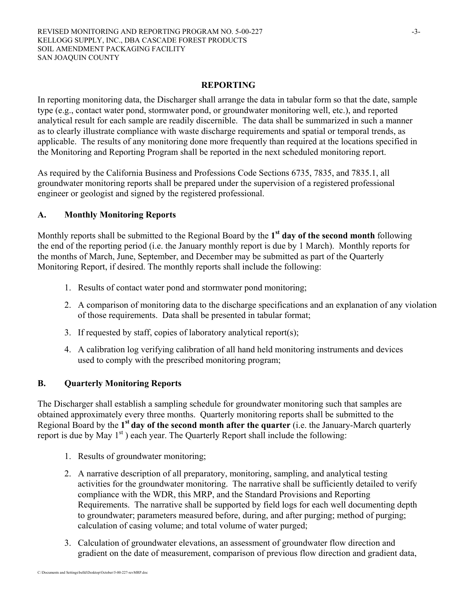#### **REPORTING**

In reporting monitoring data, the Discharger shall arrange the data in tabular form so that the date, sample type (e.g., contact water pond, stormwater pond, or groundwater monitoring well, etc.), and reported analytical result for each sample are readily discernible. The data shall be summarized in such a manner as to clearly illustrate compliance with waste discharge requirements and spatial or temporal trends, as applicable. The results of any monitoring done more frequently than required at the locations specified in the Monitoring and Reporting Program shall be reported in the next scheduled monitoring report.

As required by the California Business and Professions Code Sections 6735, 7835, and 7835.1, all groundwater monitoring reports shall be prepared under the supervision of a registered professional engineer or geologist and signed by the registered professional.

#### **A. Monthly Monitoring Reports**

Monthly reports shall be submitted to the Regional Board by the **1st day of the second month** following the end of the reporting period (i.e. the January monthly report is due by 1 March). Monthly reports for the months of March, June, September, and December may be submitted as part of the Quarterly Monitoring Report, if desired. The monthly reports shall include the following:

- 1. Results of contact water pond and stormwater pond monitoring;
- 2. A comparison of monitoring data to the discharge specifications and an explanation of any violation of those requirements. Data shall be presented in tabular format;
- 3. If requested by staff, copies of laboratory analytical report(s);
- 4. A calibration log verifying calibration of all hand held monitoring instruments and devices used to comply with the prescribed monitoring program;

### **B. Quarterly Monitoring Reports**

The Discharger shall establish a sampling schedule for groundwater monitoring such that samples are obtained approximately every three months. Quarterly monitoring reports shall be submitted to the Regional Board by the **1st day of the second month after the quarter** (i.e. the January-March quarterly report is due by May  $1<sup>st</sup>$ ) each year. The Quarterly Report shall include the following:

- 1. Results of groundwater monitoring;
- 2. A narrative description of all preparatory, monitoring, sampling, and analytical testing activities for the groundwater monitoring. The narrative shall be sufficiently detailed to verify compliance with the WDR, this MRP, and the Standard Provisions and Reporting Requirements. The narrative shall be supported by field logs for each well documenting depth to groundwater; parameters measured before, during, and after purging; method of purging; calculation of casing volume; and total volume of water purged;
- 3. Calculation of groundwater elevations, an assessment of groundwater flow direction and gradient on the date of measurement, comparison of previous flow direction and gradient data,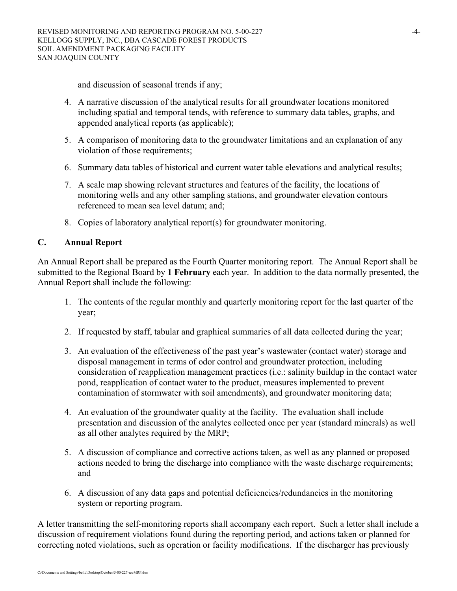and discussion of seasonal trends if any;

- 4. A narrative discussion of the analytical results for all groundwater locations monitored including spatial and temporal tends, with reference to summary data tables, graphs, and appended analytical reports (as applicable);
- 5. A comparison of monitoring data to the groundwater limitations and an explanation of any violation of those requirements;
- 6. Summary data tables of historical and current water table elevations and analytical results;
- 7. A scale map showing relevant structures and features of the facility, the locations of monitoring wells and any other sampling stations, and groundwater elevation contours referenced to mean sea level datum; and;
- 8. Copies of laboratory analytical report(s) for groundwater monitoring.

# **C. Annual Report**

An Annual Report shall be prepared as the Fourth Quarter monitoring report. The Annual Report shall be submitted to the Regional Board by **1 February** each year. In addition to the data normally presented, the Annual Report shall include the following:

- 1. The contents of the regular monthly and quarterly monitoring report for the last quarter of the year;
- 2. If requested by staff, tabular and graphical summaries of all data collected during the year;
- 3. An evaluation of the effectiveness of the past year's wastewater (contact water) storage and disposal management in terms of odor control and groundwater protection, including consideration of reapplication management practices (i.e.: salinity buildup in the contact water pond, reapplication of contact water to the product, measures implemented to prevent contamination of stormwater with soil amendments), and groundwater monitoring data;
- 4. An evaluation of the groundwater quality at the facility. The evaluation shall include presentation and discussion of the analytes collected once per year (standard minerals) as well as all other analytes required by the MRP;
- 5. A discussion of compliance and corrective actions taken, as well as any planned or proposed actions needed to bring the discharge into compliance with the waste discharge requirements; and
- 6. A discussion of any data gaps and potential deficiencies/redundancies in the monitoring system or reporting program.

A letter transmitting the self-monitoring reports shall accompany each report. Such a letter shall include a discussion of requirement violations found during the reporting period, and actions taken or planned for correcting noted violations, such as operation or facility modifications. If the discharger has previously